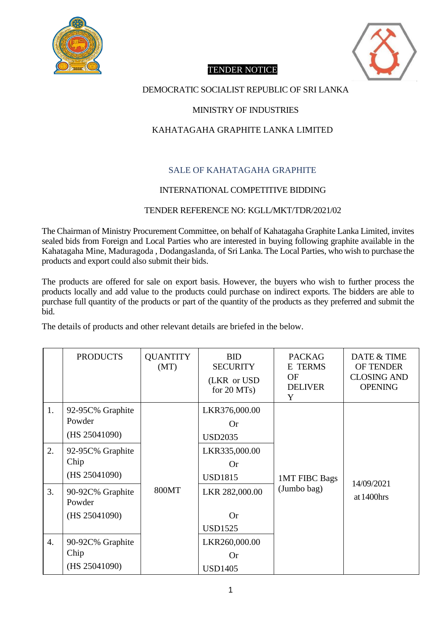



# TENDER NOTICE

## DEMOCRATIC SOCIALIST REPUBLIC OF SRI LANKA

### MINISTRY OF INDUSTRIES

# KAHATAGAHA GRAPHITE LANKA LIMITED

# SALE OF KAHATAGAHA GRAPHITE

## INTERNATIONAL COMPETITIVE BIDDING

#### TENDER REFERENCE NO: KGLL/MKT/TDR/2021/02

The Chairman of Ministry Procurement Committee, on behalf of Kahatagaha Graphite Lanka Limited, invites sealed bids from Foreign and Local Parties who are interested in buying following graphite available in the Kahatagaha Mine, Maduragoda , Dodangaslanda, of Sri Lanka. The Local Parties, who wish to purchase the products and export could also submit their bids.

The products are offered for sale on export basis. However, the buyers who wish to further process the products locally and add value to the products could purchase on indirect exports. The bidders are able to purchase full quantity of the products or part of the quantity of the products as they preferred and submit the bid.

The details of products and other relevant details are briefed in the below.

|    | <b>PRODUCTS</b>                             | <b>QUANTITY</b><br>(MT) | <b>BID</b><br><b>SECURITY</b><br>(LKR or USD)<br>for $20$ MTs) | <b>PACKAG</b><br><b>E</b> TERMS<br>OF<br><b>DELIVER</b><br>Y | DATE & TIME<br>OF TENDER<br><b>CLOSING AND</b><br><b>OPENING</b> |
|----|---------------------------------------------|-------------------------|----------------------------------------------------------------|--------------------------------------------------------------|------------------------------------------------------------------|
| 1. | 92-95C% Graphite<br>Powder<br>(HS 25041090) |                         | LKR376,000.00<br><b>Or</b><br><b>USD2035</b>                   |                                                              |                                                                  |
| 2. | 92-95C% Graphite<br>Chip<br>(HS 25041090)   |                         | LKR335,000.00<br><b>Or</b><br><b>USD1815</b>                   | <b>1MT FIBC Bags</b>                                         |                                                                  |
| 3. | 90-92C% Graphite<br>Powder<br>(HS 25041090) | 800MT                   | LKR 282,000.00<br><b>Or</b><br><b>USD1525</b>                  | (Jumbo bag)                                                  | 14/09/2021<br>at 1400hrs                                         |
| 4. | 90-92C% Graphite<br>Chip<br>(HS 25041090)   |                         | LKR260,000.00<br><b>Or</b><br><b>USD1405</b>                   |                                                              |                                                                  |